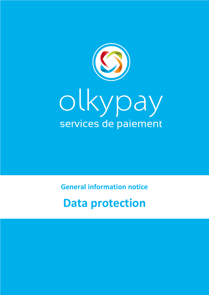

**General information notice**

# **Data protection**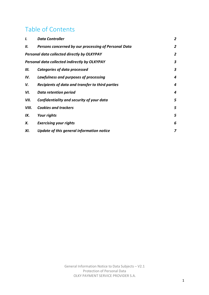#### Table of Contents

| I.                                                   | <b>Data Controller</b>                               | 2 |
|------------------------------------------------------|------------------------------------------------------|---|
| Н.                                                   | Persons concerned by our processing of Personal Data | 2 |
| <b>Personal data collected directly by OLKYPAY</b>   |                                                      | 2 |
| <b>Personal data collected indirectly by OLKYPAY</b> |                                                      | 3 |
| Ш.                                                   | Categories of data processed                         | 3 |
| IV.                                                  | Lawfulness and purposes of processing                | 4 |
| V.                                                   | Recipients of data and transfer to third parties     | 4 |
| VI.                                                  | Data retention period                                | 4 |
| VII.                                                 | Confidentiality and security of your data            | 5 |
| VIII.                                                | <b>Cookies and trackers</b>                          | 5 |
| IX.                                                  | Your rights                                          | 5 |
| Х.                                                   | <b>Exercising your rights</b>                        | 6 |
| XI.                                                  | Update of this general information notice            | 7 |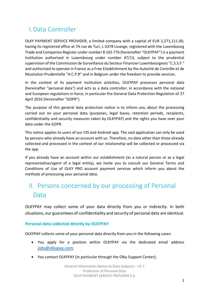## I.Data Controller

OLKY PAYMENT SERVICE PROVIDER, a limited company with a capital of EUR 2,271,111.00, having its registered office at 7A rue de Turi, L-3378 Livange, registered with the Luxembourg Trade and Companies Register under number B 165 776 (hereinafter "OLKYPAY") is a payment institution authorised in Luxembourg under number 47/13, subject to the prudential supervision of the Commission de Surveillance du Secteur Financier Luxembourgeois "C.S.S.F." and authorised to operate in France as a Free Establishment by the Autorité de Contrôle et de Résolution Prudentielle "A.C.P.R" and in Belgium under the freedom to provide services.

In the context of its payment institution activities, OLKYPAY processes personal data (hereinafter "personal data") and acts as a data controller, in accordance with the national and European regulations in force, in particular the General Data Protection Regulation of 27 April 2016 (hereinafter "GDPR").

The purpose of this general data protection notice is to inform you about the processing carried out on your personal data (purposes, legal bases, retention periods, recipients, confidentiality and security measures taken by OLKYPAY) and the rights you have over your data under the GDPR.

This notice applies to users of our iOS and Android app. The said application can only be used by persons who already have an account with us. Therefore, no data other than those already collected and processed in the context of our relationship will be collected or processed via the app.

If you already have an account within our establishment (as a natural person or as a legal representative/agent of a legal entity), we invite you to consult our General Terms and Conditions of Use of OLKY PRO account payment services which inform you about the methods of processing your personal data.

# II. Persons concerned by our processing of Personal Data

OLKYPAY may collect some of your data directly from you or indirectly. In both situations, our guarantees of confidentiality and security of personal data are identical.

#### **Personal data collected directly by OLKYPAY**

OLKYPAY collects some of your personal data directly from you in the following cases:

- You apply for a position within OLKYPAY via the dedicated email address jobs@olkypay.com;
- You contact OLKYPAY (in particular through the Olky Support Center);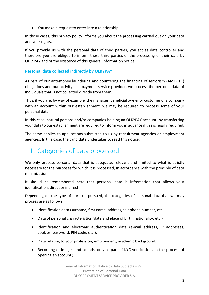• You make a request to enter into a relationship;

In those cases, this privacy policy informs you about the processing carried out on your data and your rights.

If you provide us with the personal data of third parties, you act as data controller and therefore you are obliged to inform these third parties of the processing of their data by OLKYPAY and of the existence of this general information notice.

#### **Personal data collected indirectly by OLKYPAY**

As part of our anti-money laundering and countering the financing of terrorism (AML-CFT) obligations and our activity as a payment service provider, we process the personal data of individuals that is not collected directly from them.

Thus, if you are, by way of example, the manager, beneficial owner or customer of a company with an account within our establishment, we may be required to process some of your personal data.

In this case, natural persons and/or companies holding an OLKYPAY account, by transferring your data to our establishment are required to inform you in advance if this is legally required.

The same applies to applications submitted to us by recruitment agencies or employment agencies. In this case, the candidate undertakes to read this notice.

#### III. Categories of data processed

We only process personal data that is adequate, relevant and limited to what is strictly necessary for the purposes for which it is processed, in accordance with the principle of data minimization.

It should be remembered here that personal data is information that allows your identification, direct or indirect.

Depending on the type of purpose pursued, the categories of personal data that we may process are as follows:

- Identification data (surname, first name, address, telephone number, etc.),
- Data of personal characteristics (date and place of birth, nationality, etc.),
- Identification and electronic authentication data (e-mail address, IP addresses, cookies, password, PIN code, etc.),
- Data relating to your profession, employment, academic background;
- Recording of images and sounds, only as part of KYC verifications in the process of opening an account ;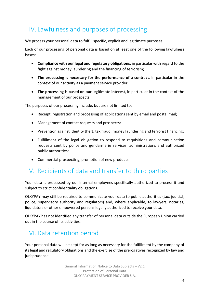### IV. Lawfulness and purposes of processing

We process your personal data to fulfill specific, explicit and legitimate purposes.

Each of our processing of personal data is based on at least one of the following lawfulness bases:

- **Compliance with our legal and regulatory obligations**, in particular with regard to the fight against money laundering and the financing of terrorism;
- **The processing is necessary for the performance of a contract**, in particular in the context of our activity as a payment service provider;
- **The processing is based on our legitimate interest**, in particular in the context of the management of our prospects.

The purposes of our processing include, but are not limited to:

- Receipt, registration and processing of applications sent by email and postal mail;
- Management of contact requests and prospects;
- Prevention against identity theft, tax fraud, money laundering and terrorist financing;
- Fulfillment of the legal obligation to respond to requisitions and communication requests sent by police and gendarmerie services, administrations and authorized public authorities;
- Commercial prospecting, promotion of new products.

#### V. Recipients of data and transfer to third parties

Your data is processed by our internal employees specifically authorized to process it and subject to strict confidentiality obligations.

OLKYPAY may still be required to communicate your data to public authorities (tax, judicial, police, supervisory authority and regulators) and, where applicable, to lawyers, notaries, liquidators or other empowered persons legally authorized to receive your data.

OLKYPAY has not identified any transfer of personal data outside the European Union carried out in the course of its activities.

### VI. Data retention period

Your personal data will be kept for as long as necessary for the fulfillment by the company of its legal and regulatory obligations and the exercise of the prerogatives recognized by law and jurisprudence.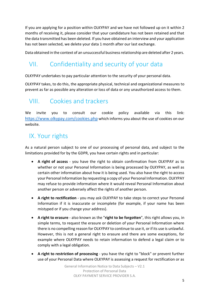If you are applying for a position within OLKYPAY and we have not followed up on it within 2 months of receiving it, please consider that your candidature has not been retained and that the data transmitted has been deleted. If you have obtained an interview and your application has not been selected, we delete your data 1 month after our last exchange.

Data obtained in the context of an unsuccessful business relationship are deleted after 2 years.

# VII. Confidentiality and security of your data

OLKYPAY undertakes to pay particular attention to the security of your personal data.

OLKYPAY takes, to do this, the appropriate physical, technical and organizational measures to prevent as far as possible any alteration or loss of data or any unauthorized access to them.

#### VIII. Cookies and trackers

We invite you to consult our cookie policy available via this link: https://www.olkypay.com/cookies.php which informs you about the use of cookies on our website.

### IX. Your rights

As a natural person subject to one of our processing of personal data, and subject to the limitations provided for by the GDPR, you have certain rights and in particular:

- **A right of access** you have the right to obtain confirmation from OLKYPAY as to whether or not your Personal Information is being processed by OLKYPAY, as well as certain other information about how it is being used. You also have the right to access your Personal Information by requesting a copy of your Personal Information. OLKYPAY may refuse to provide information where it would reveal Personal Information about another person or adversely affect the rights of another person.
- **A right to rectification** you may ask OLKYPAY to take steps to correct your Personal Information if it is inaccurate or incomplete (for example, if your name has been mistyped or if you change your address).
- **A right to erasure** also known as the "**right to be forgotten**", this right allows you, in simple terms, to request the erasure or deletion of your Personal Information where there is no compelling reason for OLKYPAY to continue to use it, or if its use is unlawful. However, this is not a general right to erasure and there are some exceptions, for example where OLKYPAY needs to retain information to defend a legal claim or to comply with a legal obligation.
- **A right to restriction of processing** you have the right to "block" or prevent further use of your Personal Data where OLKYPAY is assessing a request for rectification or as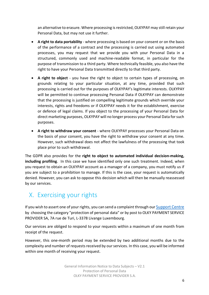an alternative to erasure. Where processing is restricted, OLKYPAY may still retain your Personal Data, but may not use it further.

- **A right to data portability** where processing is based on your consent or on the basis of the performance of a contract and the processing is carried out using automated processes, you may request that we provide you with your Personal Data in a structured, commonly used and machine-readable format, in particular for the purpose of transmission to a third party. Where technically feasible, you also have the right to have your Personal Data transmitted directly to that third party.
- **A right to object** you have the right to object to certain types of processing, on grounds relating to your particular situation, at any time, provided that such processing is carried out for the purposes of OLKYPAY's legitimate interests. OLKYPAY will be permitted to continue processing Personal Data if OLKYPAY can demonstrate that the processing is justified on compelling legitimate grounds which override your interests, rights and freedoms or if OLKYPAY needs it for the establishment, exercise or defence of legal claims. If you object to the processing of your Personal Data for direct marketing purposes, OLKYPAY will no longer process your Personal Data for such purposes.
- **A right to withdraw your consent** where OLKYPAY processes your Personal Data on the basis of your consent, you have the right to withdraw your consent at any time. However, such withdrawal does not affect the lawfulness of the processing that took place prior to such withdrawal.

The GDPR also provides for the **right to object to automated individual decision-making, including profiling**. In this case we have identified only one such treatment. Indeed, when you request to obtain an OLKYPAY account as a manager of a company, you must notify us if you are subject to a prohibition to manage. If this is the case, your request is automatically denied. However, you can ask to oppose this decision which will then be manually reassessed by our services.

#### X. Exercising your rights

If you wish to assert one of your rights, you can send a complaint through our Support Centre by choosing the category "protection of personal data" or by post to OLKY PAYMENT SERVICE PROVIDER SA, 7A rue de Turi, L-3378 Livange Luxembourg.

Our services are obliged to respond to your requests within a maximum of one month from receipt of the request.

However, this one-month period may be extended by two additional months due to the complexity and number of requests received by our services. In this case, you will be informed within one month of receiving your request.